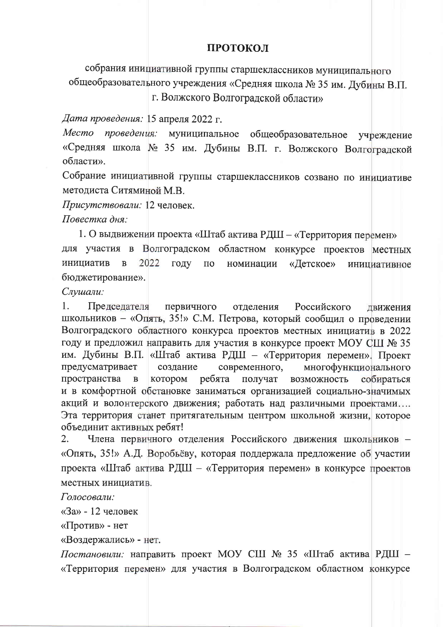## ПРОТОКОЛ

собрания инициативной группы старшеклассников муниципального общеобразовательного учреждения «Средняя школа № 35 им. Дубины В.П.

г. Волжского Волгоградской области»

Дата проведения: 15 апреля 2022 г.

муниципальное общеобразовательное Место проведения: учреждение «Средняя школа № 35 им. Дубины В.П. г. Волжского Волгоградской области».

Собрание инициативной группы старшеклассников созвано по инициативе методиста Ситяминой М.В.

Присутствовали: 12 человек.

Повестка дня:

1. О выдвижении проекта «Штаб актива РДШ – «Территория перемен»

для участия в Волгоградском областном конкурсе проектов местных инициатив  $\mathbf{B}$ 2022 году «Детское»  $\rm{IIO}$ номинации инициативное бюджетирование».

Слушали:

1. Председателя первичного отделения Российского лвижения школьников - «Опять, 35!» С.М. Петрова, который сообщил о проведении Волгоградского областного конкурса проектов местных инициатив в 2022 году и предложил направить для участия в конкурсе проект МОУ СШ № 35 им. Дубины В.П. «Штаб актива РДШ - «Территория перемен». Проект предусматривает современного, многофункционального создание пространства котором ребята получат возможность собираться  $\, {\bf B}$ и в комфортной обстановке заниматься организацией социально-значимых акций и волонтерского движения; работать над различными проектами.... Эта территория станет притягательным центром школьной жизни, которое объединит активных ребят!

 $2.$ Члена первичного отделения Российского движения школьников -«Опять, 35!» А.Д. Воробьёву, которая поддержала предложение об участии проекта «Штаб актива РДШ - «Территория перемен» в конкурсе проектов местных инициатив.

Голосовали:

«За» - 12 человек

«Против» - нет

«Воздержались» - нет.

Постановили: направить проект МОУ СШ № 35 «Штаб актива РДШ -«Территория перемен» для участия в Волгоградском областном конкурсе